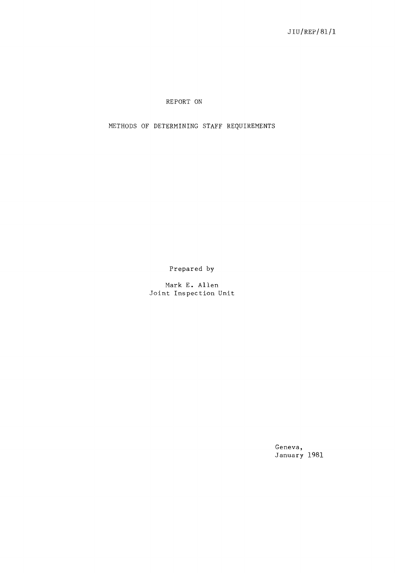## REPORT ON

# METHODS OF DETERMINING STAFF REQUIREMENTS

Prepared by

Mark E. Allen Joint Inspection Unit

> Geneva, January 1981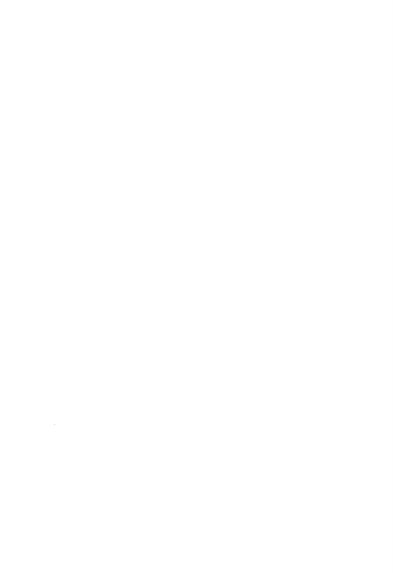$\label{eq:2.1} \frac{1}{\sqrt{2}}\left(\frac{1}{\sqrt{2}}\right)^{2} \left(\frac{1}{\sqrt{2}}\right)^{2} \left(\frac{1}{\sqrt{2}}\right)^{2} \left(\frac{1}{\sqrt{2}}\right)^{2} \left(\frac{1}{\sqrt{2}}\right)^{2} \left(\frac{1}{\sqrt{2}}\right)^{2} \left(\frac{1}{\sqrt{2}}\right)^{2} \left(\frac{1}{\sqrt{2}}\right)^{2} \left(\frac{1}{\sqrt{2}}\right)^{2} \left(\frac{1}{\sqrt{2}}\right)^{2} \left(\frac{1}{\sqrt{2}}\right)^{2} \left(\$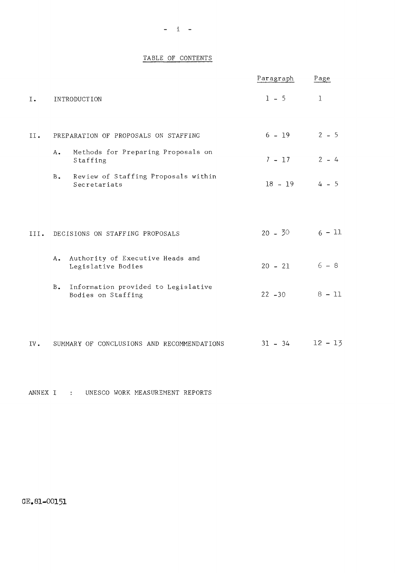## TABLE OF CONTENTS

|      |               |                                                           | Paragraph | Page        |
|------|---------------|-----------------------------------------------------------|-----------|-------------|
| I.   |               | INTRODUCTION                                              | $1 - 5$   | $\mathbf 1$ |
|      |               |                                                           |           |             |
| II.  |               | PREPARATION OF PROPOSALS ON STAFFING                      | $6 - 19$  | $2 - 5$     |
|      | $A_{\bullet}$ | Methods for Preparing Proposals on<br>Staffing            | $7 - 17$  | $2 - 4$     |
|      | $B -$         | Review of Staffing Proposals within<br>Secretariats       | $18 - 19$ | $4 - 5$     |
|      |               |                                                           |           |             |
| III. |               | DECISIONS ON STAFFING PROPOSALS                           | $20 - 30$ | $6 - 11$    |
|      | A.            | Authority of Executive Heads and<br>Legislative Bodies    | $20 - 21$ | $6 - 8$     |
|      | $B_{\bullet}$ | Information provided to Legislative<br>Bodies on Staffing | $22 - 30$ | $8 - 11$    |
|      |               |                                                           |           |             |
| IV.  |               | SUMMARY OF CONCLUSIONS AND RECOMMENDATIONS                | $31 - 34$ | $12 - 13$   |

ANNEX I : UNESCO WORK MEASUREMENT REPORTS

GE.81-00151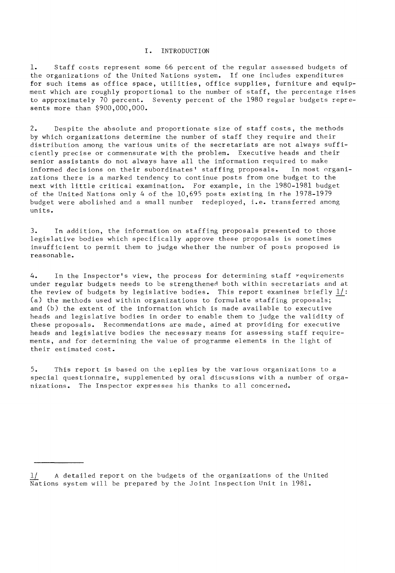#### I. INTRODUCTION

1. Staff costs represent some 66 percent of the regular assessed budgets of the organizations of the United Nations system. If one includes expenditures for such items as office space, utilities, office supplies, furniture and equipment which are roughly proportional to the number of staff, the percentage rises to approximately 70 percent. Seventy percent of the 1980 regular budgets represents more than \$900,000,000.

2. Despite the absolute and proportionate size of staff costs, the methods by which organizations determine the number of staff they require and their distribution among the various units of the secretariats are not always sufficiently precise or commensurate with the problem. Executive heads and their senior assistants do not always have all the information required to make informed decisions on their subordinates' staffing proposals. In most organizations there is a marked tendency to continue posts from one budget to the next with little critical examination. For example, in the 1980-1981 budget of the United Nations only 4 of the 10,695 posts existing in the 1978-1979 budget were abolished and a small number redeployed, i.e. transferred among units.

3. In addition, the information on staffing proposals presented to those legislative bodies which specifically approve these proposals is sometimes insufficient to permit them to judge whether the number of posts proposed is reasonable.

4. In the Inspector's view, the process for determining staff requirements under regular budgets needs to be strengthened both within secretariats and at the review of budgets by legislative bodies. This report examines briefly 1/: (a) the methods used within organizations to formulate staffing proposals; and (b) the extent of the information which is made available to executive heads and legislative bodies in order to enable them to judge the validity of these proposals. Recommendations are made, aimed at providing for executive heads and legislative bodies the necessary means for assessing staff requirements, and for determining the value of programme elements in the light of their estimated cost.

5. This report is based on the îeplies by the various organizations to a special questionnaire, supplemented by oral discussions with a number of organizations. The Inspector expresses his thanks to all concerned.

A detailed report on the budgets of the organizations of the United Nations system will be prepared by the Joint Inspection Unit in 1981.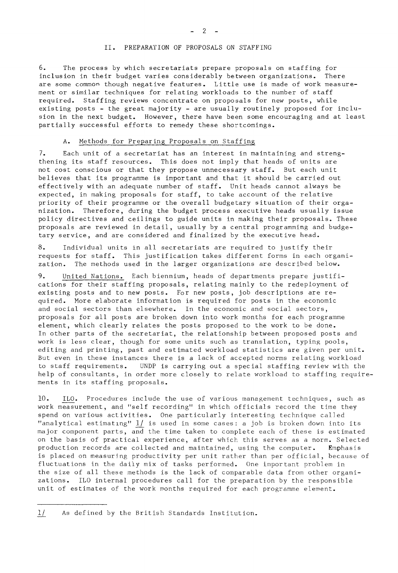#### II. PREPARATION OF PROPOSALS ON STAFFING

6. The process by which secretariats prepare proposals on staffing for inclusion in their budget varies considerably between organizations. There are some common though negative features. Little use is made of work measurement or similar techniques for relating workloads to the number of staff required. Staffing reviews concentrate on proposals for new posts, while existing posts - the great majority - are usually routinely proposed for inclusion in the next budget. However, there have been some encouraging and at least partially successful efforts to remedy these shortcomings.

#### A. Methods for Preparing Proposals on Staffing

7. Each unit of a secretariat has an interest in maintaining and strengthening its staff resources. This does not imply that heads of units are not cost conscious or that they propose unnecessary staff. But each unit believes that its programme is important and that it should be carried out effectively with an adequate number of staff. Unit heads cannot always be expected, in making proposals for staff, to take account of the relative priority of their programme or the overall budgetary situation of their organization. Therefore, during the budget process executive heads usually issue policy directives and ceilings to guide units in making their proposals. These proposals are reviewed in detail, usually by a central programming and budgetary service, and are considered and finalized by the executive head.

8. Individual units in all secretariats are required to justify their requests for staff. This justification takes different forms in each organization. The methods used in the larger organizations are described below.

9. United Nations. Each biennium, heads of departments prepare justifications for their staffing proposals, relating mainly to the redeployment of existing posts and to new posts. For new posts, job descriptions are required. More elaborate information is required for posts in the economic and social sectors than elsewhere. In the economic and social sectors, proposals for all posts are broken down into work months for each programme element, which clearly relates the posts proposed to the work to be done. In other parts of the secretariat, the relationship between proposed posts and work is less clear, though for some units such as translation, typing pools, editing and printing, past and estimated workload statistics are given per unit. But even in these instances there is a lack of accepted norms relating workload to staff requirements. UNDP is carrying out a special staffing review with the help of consultants, in order more closely to relate workload to staffing requirements in its staffing proposals.

10. ILO. Procedures include the use of various management techniques, such as work measurement, and "self recording" in which officials record the time they spend on various activities. One particularly interesting technique called "analytical estimating" 1/ is used in some cases: a job is broken down into its major component parts, and the time taken to complete each of these is estimated on the basis of practical experience, after which this serves as a norm. Selected production records are collected and maintained, using the computer. Emphasis is placed on measuring productivity per unit rather than per official, because of fluctuations in the daily mix of tasks performed. One important problem in the size of all these methods is the lack of comparable data from other organizations. ILO internal procedures call for the preparation by the responsible unit of estimates of the work months required for each programme element.

1/ As defined by the British Standards Institution.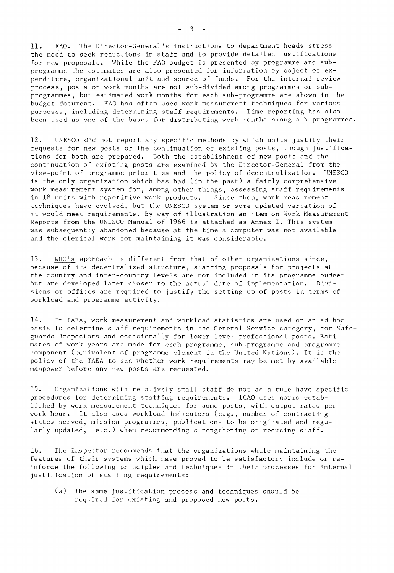11. FAO. The Director-General's instructions to department heads stress the need to seek reductions in staff and to provide detailed justifications for new proposals. While the FAO budget is presented by programme and subprogramme the estimates are also presented for information by object of expenditure, organizational unit and source of funds. For the internal review process, posts or work months are not sub-divided among programmes or subprogrammes, but estimated work months for each sub-programme are shown in the budget document. FAO has often used work measurement techniques for various purposes, including determining staff requirements. Time reporting has also been used as one of the bases for distributing work months among sub-programmes.

12. UNESCO did not report any specific methods by which units justify their requests for new posts or the continuation of existing posts, though justifications for both are prepared. Both the establishment of new posts and the continuation of existing posts are examined by the Director-General from the view-point of programme priorities and the policy of decentralization. UNESCO is the only organization which has had (in the past) a fairly comprehensive work measurement system for, among other things, assessing staff requirements in 18 units with repetitive work products. Since then, work measurement techniques have evolved, but the UNESCO system or some updated variation of it would meet requirements. By way of illustration an item on Work Measurement Reports from the UNESCO Manual of 1966 is attached as Annex I. This system was subsequently abandoned because at the time a computer was not available and the clerical work for maintaining it was considerable.

13. WHO's approach is different from that of other organizations since, because of its decentralized structure, staffing proposals for projects at the country and inter-country levels are not included in its programme budget but are developed later closer to the actual date of implementation. Divisions or offices are required to justify the setting up of posts in terms of workload and programme activity.

14. In IAEA, work measurement and workload statistics are used on an ad hoc basis to determine staff requirements in the General Service category, for Safeguards Inspectors and occasionally for lower level professional posts. Estimates of work years are made for each programme, sub-programme and programme component (equivalent of programme element in the United Nations). It is the policy of the IAEA to see whether work requirements may be met by available manpower before any new posts are requested.

15. Organizations with relatively small staff do not as a rule have specific procedures for determining staffing requirements. ICAO uses norms established by work measurement techniques for some posts, with output rates per work hour. It also uses workload indicators (e.g., number of contracting states served, mission programmes, publications to be originated and regularly updated, etc.) when recommending strengthening or reducing staff.

16. The Inspector recommends that the organizations while maintaining the features of their systems which have proved to be satisfactory include or reinforce the following principles and techniques in their processes for internal justification of staffing requirements:

(a) The same justification process and techniques should be required for existing and proposed new posts.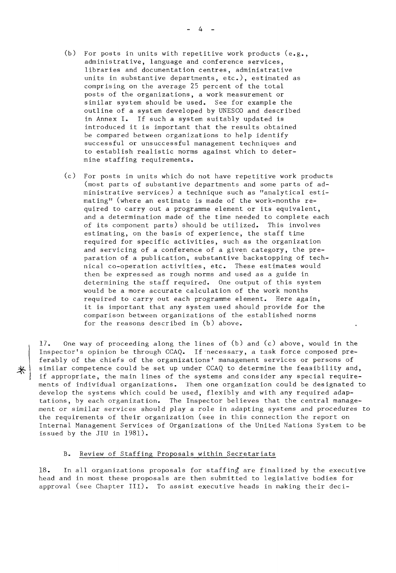- (b) For posts in units with repetitive work products (e.g., administrative, language and conference services, libraries and documentation centres, administrative units in substantive departments, etc.), estimated as comprising on the average 25 percent of the total posts of the organizations, a work measurement or similar system should be used. See for example the outline of a system developed by UNESCO and described in Annex I. If such a system suitably updated is introduced it is important that the results obtained be compared between organizations to help identify successful or unsuccessful management techniques and to establish realistic norms against which to determine staffing requirements.
- (c) For posts in units which do not have repetitive work products (most parts of substantive departments and some parts of administrative services) a technique such as "analytical estimating" (where an estimate is made of the work-months required to carry out a programme element or its equivalent, and a determination made of the time needed to complete each of its component parts) should be utilized. This involves estimating, on the basis of experience, the staff time required for specific activities, such as the organization and servicing of a conference of a given category, the preparation of a publication, substantive backstopping of technical co-operation activities, etc. These estimates would then be expressed as rough norms and used as a guide in determining the staff required. One output of this system would be a more accurate calculation of the work months required to carry out each programme element. Here again, it is important that any system used should provide for the comparison between organizations of the established norms for the reasons described in (b) above.

17. One way of proceeding along the lines of (b) and (c) above, would in the Inspector's opinion be through CCAQ. If'necessary, a task force composed preferably of the chiefs of the organizations' management services or persons of similar competence could be set up under CCAQ to determine the feasibility and, if appropriate, the main lines of the systems and consider any special requirements of individual organizations. Then one organization could be designated to develop the systems which could be used, flexibly and with any required adaptations, by each organization. The Inspector believes that the central management or similar services should play a role in adapting systems and procedures to the requirements of their organization (see in this connection the report on Internal Management Services of Organizations of the United Nations System to be issued by the JIU in 1981).

### B. Review of Staffing Proposals within Secretariats

18. In all organizations proposals for staffing are finalized by the executive head and in most these proposals are then submitted to legislative bodies for approval (see Chapter III). To assist executive heads in making their deci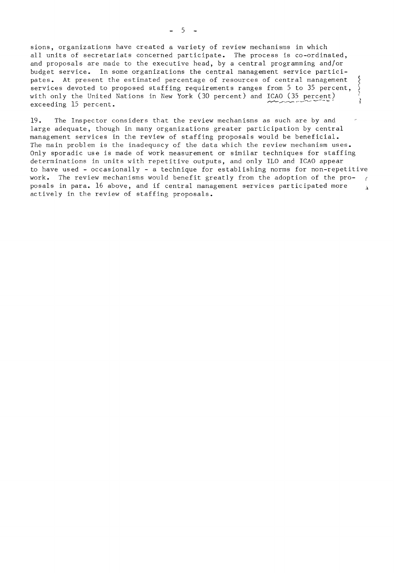sions, organizations have created a variety of review mechanisms in which all units of secretariats concerned participate. The process is co-ordinated, and proposals are made to the executive head, by a central programming and/or budget service. In some organizations the central management service participates. At present the estimated percentage of resources of central management services devoted to proposed staffing requirements ranges from 5 to 35 percent, with only the United Nations in New York (30 percent) and ICAO (35 percent)  $\boldsymbol{\xi}$ exceeding 15 percent.

19. The Inspector considers that the review mechanisms as such are by and large adequate, though in many organizations greater participation by central management services in the review of staffing proposals would be beneficial. The main problem is the inadequacy of the data which the review mechanism uses. Only sporadic use is made of work measurement or similar techniques for staffing determinations in units with repetitive outputs, and only ILO and ICAO appear to have used - occasionally - a technique for establishing norms for non-repetit work. The review mechanisms would benefit greatly from the adoption of the proposals in para. 16 above, and if central management services participated more  $\mathbf{\hat{x}}$ actively in the review of staffing proposals.

5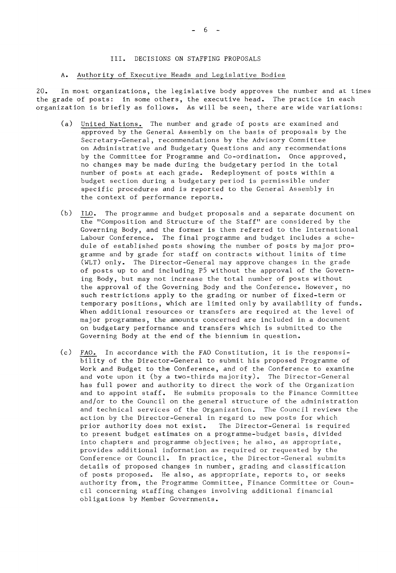III. DECISIONS ON STAFFING PROPOSALS

#### A. Authority of Executive Heads and Legislative Bodies

 $20.$ In most organizations, the legislative body approves the number and at times the grade of posts: in some others, the executive head. The practice in each organization is briefly as follows. As will be seen, there are wide variations:

- (a) United Nations. The number and grade of posts are examined and approved by the General Assembly on the basis of proposals by the Secretary-General, recommendations by the Advisory Committee on Administrative and Budgetary Questions and any recommendations by the Committee for Programme and Co-ordination. Once approved, no changes may be made during the budgetary period in the total number of posts at each grade. Redeployment of posts within a budget section during a budgetary period is permissible under specific procedures and is reported to the General Assembly in the context of performance reports.
- (b) ILO. The programme and budget proposals and a separate document on the "Composition and Structure of the Staff" are considered by the Governing Body, and the former is then referred to the International Labour Conference. The final programme and budget includes a schedule of established posts showing the number of posts by major programme and by grade for staff on contracts without limits of time (WLT) only. The Director-General may approve changes in the grade of posts up to and including P5 without the approval of the Governing Body, but may not increase the total number of posts without the approval of the Governing Body and the Conference. However, no such restrictions apply to the grading or number of fixed-term or temporary positions, which are limited only by availability of funds. When additional resources or transfers are required at the level of major programmes, the amounts concerned are included in a document on budgetary performance and transfers which is submitted to the Governing Body at the end of the biennium in question.
- (c) FAO. In accordance with the FAO Constitution, it is the responsibility of the Director-General to submit his proposed Programme of Work and Budget to the Conference, and of the Conference to examine and vote upon it (by a two-thirds majority). The Director-General has full power and authority to direct the work of the Organization and to appoint staff. He submits proposals to the Finance Committee and/or to the Council on the general structure of the administration and technical services of the Organization. The Council reviews the action by the Director-General in regard to new posts for which prior authority does not exist. The Director-General is required to present budget estimates on a programme-budget basis, divided into chapters and programme objectives; he also, as appropriate, provides additional information as required or requested by the Conference or Council. In practice, the Director-General submits details of proposed changes in number, grading and classification of posts proposed. He also, as appropriate, reports to, or seeks authority from, the Programme Committee, Finance Committee or Council concerning staffing changes involving additional financial obligations by Member Governments.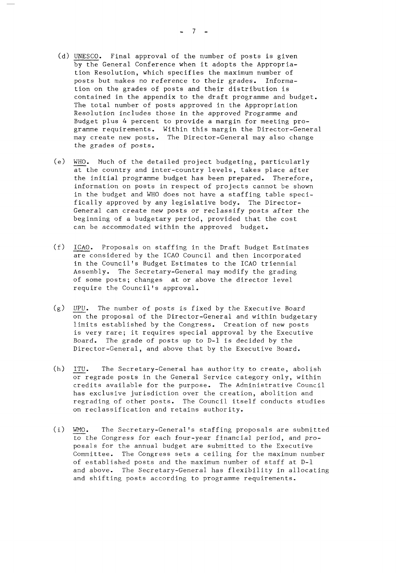- (d) UNESCO. Final approval of the number of posts is given by the General Conference when it adopts the Appropriation Resolution, which specifies the maximum number of posts but makes no reference to their grades. Information on the grades of posts and their distribution is contained in the appendix to the draft programme and budget. The total number of posts approved in the Appropriation Resolution includes those in the approved Programme and Budget plus 4 percent to provide a margin for meeting programme requirements. Within this margin the Director-General may create new posts. The Director-General may also change the grades of posts.
- (e) WHO. Much of the detailed project budgeting, particularly at the country and inter-country levels, takes place after the initial programme budget has been prepared. Therefore, information on posts in respect of projects cannot be shown in the budget and WHO does not have a staffing table specifically approved by any legislative body. The Director-General can create new posts or reclassify posts after the beginning of a budgetary period, provided that the cost can be accommodated within the approved budget.
- (f) ICAO. Proposals on staffing in the Draft Budget Estimates are considered by the ICAO Council and then incorporated in the Council's Budget Estimates to the ICAO triennial Assembly. The Secretary-General may modify the grading of some posts; changes at or above the director level require the Council's approval.
- (g) UPU. The number of posts is fixed by the Executive Board on the proposal of the Director-General and within budgetary limits established by the Congress. Creation of new posts is very rare; it requires special approval by the Executive Board. The grade of posts up to D-l is decided by the Director-General, and above that by the Executive Board.
- (h) ITU. The Secretary-General has authority to create, abolish or regrade posts in the General Service category only, within credits available for the purpose. The Administrative Council has exclusive jurisdiction over the creation, abolition and regrading of other posts. The Council itself conducts studies on reclassification and retains authority.
- (i) WMO. The Secretary-General's staffing proposals are submitted to the Congress for each four-year financial period, and proposals for the annual budget are submitted to the Executive Committee. The Congress sets a ceiling for the maximum number of established posts and the maximum number of staff at D-l and above. The Secretary-General has flexibility in allocating and shifting posts according to programme requirements.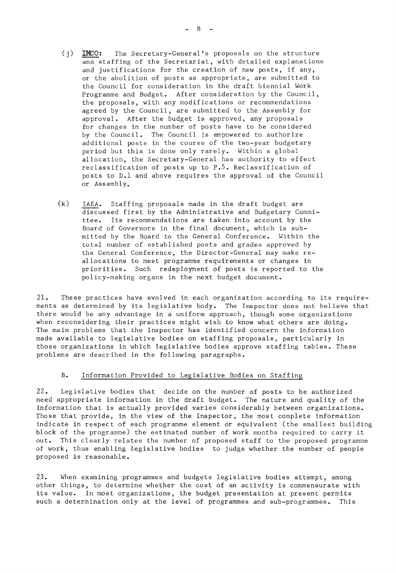- (j) UMCO; The Secretary-General's proposals on the structure and staffing of the Secretariat, with detailed explanations and justifications for the creation of new posts, if any, or the abolition of posts as appropriate, are submitted to the Council for consideration in the draft biennial Work Programme and Budget. After consideration by the Council, the proposals, with any modifications or recommendations agreed by the Council, are submitted to the Assembly for approval. After the budget is approved, any proposals for changes in the number of posts have to be considered by the Council. The Council is empowered to authorize additional posts in the course of the two-year budgetary period but this is done only rarely. Within a global allocation, the Secretary-General has authority to effect reclassification of posts up to P.5. Reclassification of posts to D.l and above requires the approval of the Council or Assembly.
- (k) IAEA. Staffing proposals made in the draft budget are discussed first by the Administrative and Budgetary Committee. Its recommendations are taken into account by the Board of Governors in the final document, which is submitted by the Board to the General Conference. Within the total number of established posts and grades approved by the General Conference, the Director-General may make reallocations to meet programme requirements or changes in priorities. Such redeployment of posts is reported to the policy-making organs in the next budget document.

21. These practices have evolved in each organization according to its requirements as determined by its legislative body. The Inspector does not believe that there would be any advantage in a uniform approach, though some organizations when reconsidering their practices might wish to know what others are doing. The main problems that the Inspector has identified concern the information made available to legislative bodies on staffing proposals, particularly in those organizations in which legislative bodies approve staffing tables. These problems are described in the following paragraphs.

### B. Information Provided to Legislative Bodies on Staffing

22. Legislative bodies that decide on the number of posts to be authorized need appropriate information in the draft budget. The nature and quality of the information that is actually provided varies considerably between organizations. Those that provide, in the view of the Inspector, the most complete information indicate in respect of each programme element or equivalent (the smallest building block of the programme) the estimated number of work months required to carry it out. This clearly relates the number of proposed staff to the proposed programme of work, thus enabling legislative bodies to judge whether the number of people proposed is reasonable.

23. When examining programmes and budgets legislative bodies attempt, among other things, to determine whether the cost of an activity is commensurate with its value. In most organizations, the budget presentation at present permits such a determination only at the level of programmes and sub-programmes. This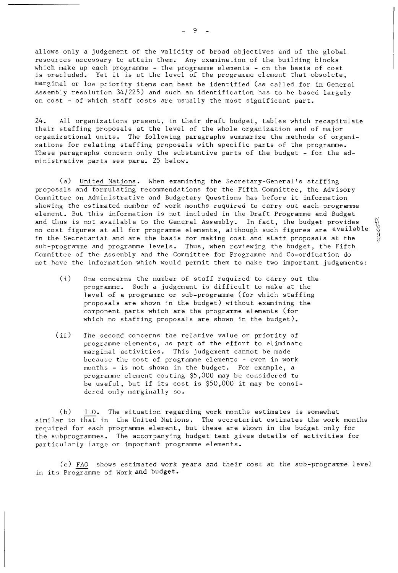allows only a judgement of the validity of broad objectives and of the global resources necessary to attain them. Any examination of the building blocks which make up each programme - the programme elements - on the basis of cost is precluded. Yet it is at the level of the programme element that obsolete, marginal or low priority items can best be identified (as called for in General Assembly resolution 34/225) and such an identification has to be based largely on cost - of which staff costs are usually the most significant part.

24. All organizations present, in their draft budget, tables which recapitulate their staffing proposals at the level of the whole organization and of major organizational units. The following paragraphs summarize the methods of organizations for relating staffing proposals with specific parts of the programme. These paragraphs concern only the substantive parts of the budget - for the administrative parts see para. 25 below.

(a) United Nations. When examining the Secretary-General's staffing proposals and formulating recommendations for the Fifth Committee, the Advisory Committee on Administrative and Budgetary Questions has before it information showing the estimated number of work months required to carry out each programme element. But this information is not included in the Draft Programme and Budget and thus is not available to the General Assembly. In fact, the budget provides no cost figures at all for programme elements, although such figures are available in the Secretariat and are the basis for making cost and staff proposals at the sub-programme and programme levels. Thus, when reviewing the budget, the Fifth Committee of the Assembly and the Committee for Programme and Co-ordination do not have the information which would permit them to make two important judgements:

- (i) One concerns the number of staff required to carry out the programme. Such a judgement is difficult to make at the level of a programme or sub-programme (for which staffing proposals are shown in the budget) without examining the component parts which are the programme elements (for which no staffing proposals are shown in the budget).
- (ii) The second concerns the relative value or priority of programme elements, as part of the effort to eliminate marginal activities. This judgement cannot be made because the cost of programme elements - even in work months - is not shown in the budget. For example, a programme element costing \$5,000 may be considered to be useful, but if its cost is \$50,000 it may be considered only marginally so.

(b) ILO. The situation regarding work months estimates is somewhat similar to that in the United Nations. The secretariat estimates the work months required for each programme element, but these are shown in the budget only for the subprogrammes. The accompanying budget text gives details of activities for particularly large or important programme elements.

(c) FAO shows estimated work years and their cost at the sub-programme level in its Programme of Work and budget.

- 9 -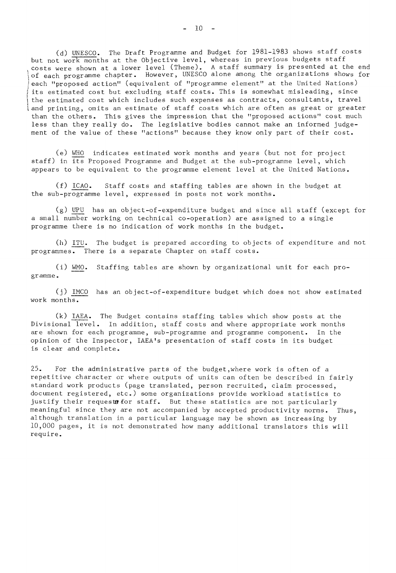(d) UNESCO. The Draft Programme and Budget for 1981-1983 shows staff costs but not work months at the Objective level, whereas in previous budgets staff costs were shown at a lower level (Theme). A staff summary is presented at the end *\*of each programme chapter. However, UNESCO alone among the organizations shows for each "proposed action" (equivalent of "programme element" at the United Nations) *Í* its estimated cost but excluding staff costs. This is somewhat misleading, since the estimated cost which includes such expenses as contracts, consultants, travel and printing, omits an estimate of staff costs which are often as great or greater than the others. This gives the impression that the "proposed actions" cost much less than they really do. The legislative bodies cannot make an informed judgement of the value of these "actions" because they know only part of their cost.

(e) WHO indicates estimated work months and years (but not for project staff) in its Proposed Programme and Budget at the sub-programme level, which appears to be equivalent to the programme element level at the United Nations.

(f) ICAO. Staff costs and staffing tables are shown in the budget at the sub-programme level, expressed in posts not work months.

(g) UPU has an object-of-expenditure budget and since all staff (except for a small number working on technical co-operation) are assigned to a single programme there is no indication of work months in the budget.

(h) ITU. The budget is prepared according to objects of expenditure and not programmes. There is a separate Chapter on staff costs.

(i) WMO. Staffing tables are shown by organizational unit for each programme.

(j) IMCO has an object-of-expenditure budget which does not show estimated work months.

(k) IAEA. The Budget contains staffing tables which show posts at the Divisional level. In addition, staff costs and where appropriate work months are shown for each programme, sub-programme and programme component. In the opinion of the Inspector, IAEA's presentation of staff costs in its budget is clear and complete.

25. For the administrative parts of the budget,where work is often of a repetitive character or where outputs of units can often be described in fairly standard work products (page translated, person recruited, claim processed, document registered, etc.) some organizations provide workload statistics to justify their requests for staff. But these statistics are not particularly meaningful since they are not accompanied by accepted productivity norms. Thus, although translation in a particular language may be shown as increasing by 10,000 pages, it is not demonstrated how many additional translators this will require.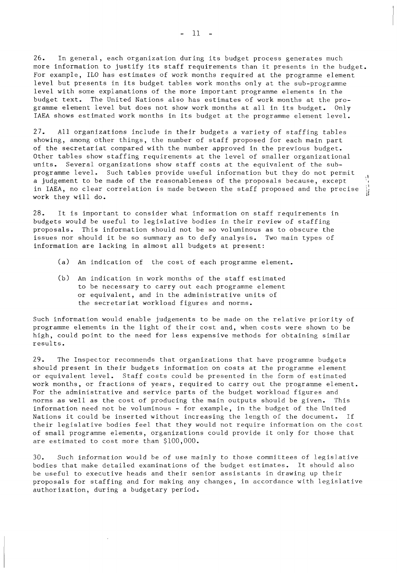26. In general, each organization during its budget process generates much more information to justify its staff requirements than it presents in the budget. For example, ILO has estimates of work months required at the programme element level but presents in its budget tables work months only at the sub-programme level with some explanations of the more important programme elements in the budget text. The United Nations also has estimates of work months at the programme element level but does not show work months at all in its budget. Only IAEA shows estimated work months in its budget at the programme element level.

27. All organizations include in their budgets a variety of staffing tables showing, among other things, the number of staff proposed for each main part of the secretariat compared with the number approved in the previous budget. Other tables show staffing requirements at the level of smaller organizational units. Several organizations show staff costs at the equivalent of the subprogramme level. Such tables provide useful information but they do not permit a judgement to be made of the reasonableness of the proposals because, except in IAEA, no clear correlation is made between the staff proposed and the precise work they will do.

28. It is important to consider what information on staff requirements in budgets would be useful to legislative bodies in their review of staffing proposals. This information should not be so voluminous as to obscure the issues nor should it be so summary as to defy analysis. Two main types of information are lacking in almost all budgets at present:

- (a) An indication of the cost of each programme element.
- (b) An indication in work months of the staff estimated to be necessary to carry out each programme element or equivalent, and in the administrative units of the secretariat workload figures and norms.

Such information would enable judgements to be made on the relative priority of programme elements in the light of their cost and, when costs were shown to be high, could point to the need for less expensive methods for obtaining similar results.

29. The Inspector recommends that organizations that have programme budgets should present in their budgets information on costs at the programme element or equivalent level. Staff costs could be presented in the form of estimated work months, or fractions of years, required to carry out the programme element. For the administrative and service parts of the budget workload figures and norms as well as the cost of producing the main outputs should be given. This information need not be voluminous - for example, in the budget of the United Nations it could be inserted without increasing the length of the document. If their legislative bodies feel that they would not require information on the cost of small programme elements, organizations could provide it only for those that are estimated to cost more than \$100,000.

30. Such information would be of use mainly to those committees of legislative bodies that make detailed examinations of the budget estimates. It should also be useful to executive heads and their senior assistants in drawing up their proposals for staffing and for making any changes, in accordance with legislative authorization, during a budgetary period.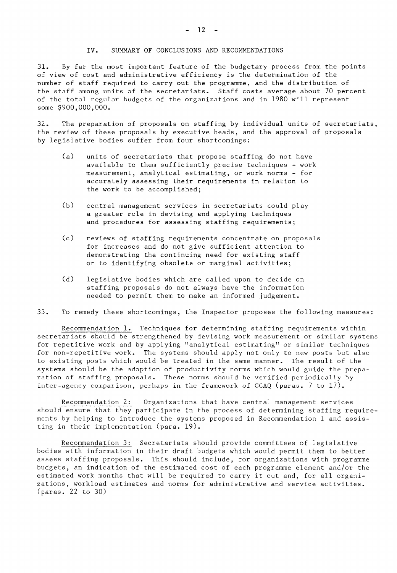#### IV. SUMMARY OF CONCLUSIONS AND RECOMMENDATIONS

31. By far the most important feature of the budgetary process from the points of view of cost and administrative efficiency is the determination of the number of staff required to carry out the programme, and the distribution of the staff among units of the secretariats. Staff costs average about 70 percent of the total regular budgets of the organizations and in 1980 will represent some \$900,000,000.

32. The preparation of proposals on staffing by individual units of secretariats, the review of these proposals by executive heads, and the approval of proposals by legislative bodies suffer from four shortcomings:

- (a) units of secretariats that propose staffing do not have available to them sufficiently precise techniques - work measurement, analytical estimating, or work norms - for accurately assessing their requirements in relation to the work to be accomplished;
- (b) central management services in secretariats could play a greater role in devising and applying techniques and procedures for assessing staffing requirements;
- (c) reviews of staffing requirements concentrate on proposals for increases and do not give sufficient attention to demonstrating the continuing need for existing staff or to identifying obsolete or marginal activities;
- (d) legislative bodies which are called upon to decide on staffing proposals do not always have the information needed to permit them to make an informed judgement.
- 33. To remedy these shortcomings, the Inspector proposes the following measures:

Recommendation 1. Techniques for determining staffing requirements within secretariats should be strengthened by devising work measurement or similar systems for repetitive work and by applying "analytical estimating" or similar techniques for non-repetitive work. The systems should apply not only to new posts but also to existing posts which would be treated in the same manner. The result of the systems should be the adoption of productivity norms which would guide the preparation of staffing proposals. These norms should be verified periodically by inter-agency comparison, perhaps in the framework of CCAQ (paras. 7 to 17).

Recommendation 2: Organizations that have central management services should ensure that they participate in the process of determining staffing requirements by helping to introduce the systems proposed in Recommendation 1 and assisting in their implementation (para. 19).

Recommendation 3: Secretariats should provide committees of legislative bodies with information in their draft budgets which would permit them to better assess staffing proposals. This should include, for organizations with programme budgets, an indication of the estimated cost of each programme element and/or the estimated work months that will be required to carry it out and, for all organizations, workload estimates and norms for administrative and service activities. (paras. 22 to 30)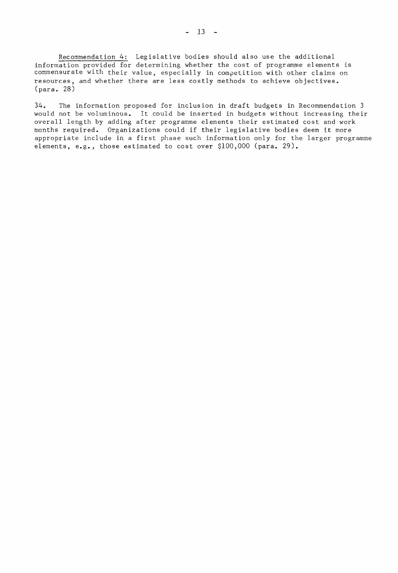Recommendation 4: Legislative bodies should also use the additional information provided for determining whether the cost of programme elements is commensurate with their value, especially in competition with other claims on resources, and whether there are less costly methods to achieve objectives. (para. 28)

34. The information proposed for inclusion in draft budgets in Recommendation 3 would not be voluminous. It could be inserted in budgets without increasing their overall length by adding after programme elements their estimated cost and work months required. Organizations could if their legislative bodies deem it more appropriate include in a first phase such information only for the larger programme elements, e.g., those estimated to cost over \$100,000 (para. 29).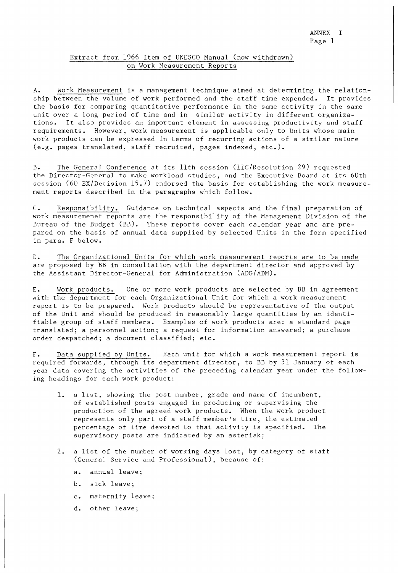# Extract from 1966 Item of UNESCO Manual (now withdrawn) on Work Measurement Reports

A. Work Measurement is a management technique aimed at determining the relationship between the volume of work performed and the staff time expended. It provides the basis for comparing quantitative performance in the same activity in the same unit over a long period of time and in similar activity in different organizations. It also provides an important element in assessing productivity and staff requirements. However, work measurement is applicable only to Units whose main work products can be expressed in terms of recurring actions of a similar nature (e.g. pages translated, staff recruited, pages indexed, etc.).

B. The General Conference at its 11th session (llC/Resolution 29) requested the Director-General to make workload studies, and the Executive Board at its 60th session (60 EX/Decision 15.7) endorsed the basis for establishing the work measurement reports described in the paragraphs which follow.

C. Responsibility. Guidance on technical aspects and the final preparation of work measuremenet reports are the responsibility of the Management Division of the Bureau of the Budget (BB). These reports cover each calendar year and are prepared on the basis of annual data supplied by selected Units in the form specified in para. F below.

D. The Organizational Units for which work measurement reports are to be made are proposed by BB in consultation with the department director and approved by the Assistant Director-General for Administration (ADC/ADM).

E. Work products. One or more work products are selected by BB in agreement with the department for each Organizational Unit for which a work measurement report is to be prepared. Work products should be representative of the output of the Unit and should be produced in reasonably large quantities by an identifiable group of staff members. Examples of work products are: a standard page translated; a personnel action; a request for information answered; a purchase order despatched; a document classified; etc.

F. Data supplied by Units. Each unit for which a work measurement report is required forwards, through its department director, to BB by 31 January of each year data covering the activities of the preceding calendar year under the following headings for each work product:

- 1. a list, showing the post number, grade and name of incumbent, of established posts engaged in producing or supervising the production of the agreed work products. When the work product represents only part of a staff member's time, the estimated percentage of time devoted to that activity is specified. The supervisory posts are indicated by an asterisk;
- 2. a list of the number of working days lost, by category of staff (General Service and Professional), because of:
	- a. annual leave;
	- b. sick leave ;
	- c. maternity leave;
	- d. other leave;